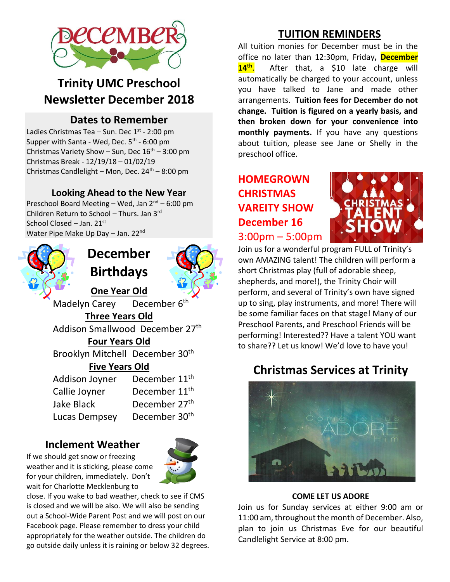

### **Trinity UMC Preschool Newsletter December 2018**

#### **Dates to Remember**

Ladies Christmas Tea – Sun. Dec 1<sup>st</sup> - 2:00 pm Supper with Santa - Wed, Dec. 5<sup>th</sup> - 6:00 pm Christmas Variety Show – Sun, Dec  $16^{th}$  – 3:00 pm Christmas Break - 12/19/18 – 01/02/19 Christmas Candlelight – Mon, Dec.  $24<sup>th</sup>$  – 8:00 pm

#### **Looking Ahead to the New Year**

Preschool Board Meeting – Wed, Jan  $2^{nd}$  – 6:00 pm Children Return to School - Thurs. Jan 3<sup>rd</sup> School Closed – Jan. 21<sup>st</sup> Water Pipe Make Up Day - Jan. 22<sup>nd</sup>



### **December Birthdays**



**One Year Old** Madelyn Carey December 6<sup>th</sup> **Three Years Old** Addison Smallwood December 27<sup>th</sup> **Four Years Old** Brooklyn Mitchell December 30<sup>th</sup> **Five Years Old** Addison Joyner December 11<sup>th</sup>

Callie Joyner December  $11<sup>th</sup>$ Jake Black December 27th Lucas Dempsey December 30<sup>th</sup>

#### **Inclement Weather**



close. If you wake to bad weather, check to see if CMS is closed and we will be also. We will also be sending out a School-Wide Parent Post and we will post on our Facebook page. Please remember to dress your child appropriately for the weather outside. The children do go outside daily unless it is raining or below 32 degrees.

#### **TUITION REMINDERS**

All tuition monies for December must be in the office no later than 12:30pm, Friday**, December 14 th** . After that, a \$10 late charge will automatically be charged to your account, unless you have talked to Jane and made other arrangements. **Tuition fees for December do not change. Tuition is figured on a yearly basis, and then broken down for your convenience into monthly payments.** If you have any questions about tuition, please see Jane or Shelly in the preschool office.

### **HOMEGROWN CHRISTMAS VAREITY SHOW December 16** 3:00pm – 5:00pm



Join us for a wonderful program FULL of Trinity's own AMAZING talent! The children will perform a short Christmas play (full of adorable sheep, shepherds, and more!), the Trinity Choir will perform, and several of Trinity's own have signed up to sing, play instruments, and more! There will be some familiar faces on that stage! Many of our Preschool Parents, and Preschool Friends will be performing! Interested?? Have a talent YOU want to share?? Let us know! We'd love to have you!

### **Christmas Services at Trinity**



#### **COME LET US ADORE**

Join us for Sunday services at either 9:00 am or 11:00 am, throughout the month of December. Also, plan to join us Christmas Eve for our beautiful Candlelight Service at 8:00 pm.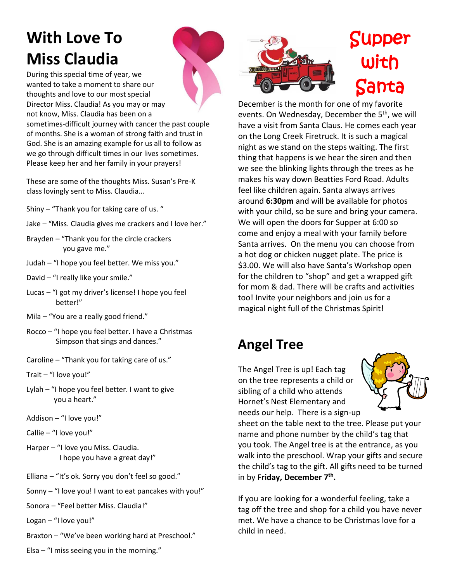## **With Love To Miss Claudia**

During this special time of year, we wanted to take a moment to share our thoughts and love to our most special Director Miss. Claudia! As you may or may not know, Miss. Claudia has been on a sometimes-difficult journey with cancer the past couple

of months. She is a woman of strong faith and trust in God. She is an amazing example for us all to follow as we go through difficult times in our lives sometimes. Please keep her and her family in your prayers!

These are some of the thoughts Miss. Susan's Pre-K class lovingly sent to Miss. Claudia…

- Shiny "Thank you for taking care of us. "
- Jake "Miss. Claudia gives me crackers and I love her."
- Brayden "Thank you for the circle crackers you gave me."
- Judah "I hope you feel better. We miss you."
- David "I really like your smile."
- Lucas "I got my driver's license! I hope you feel better!"
- Mila "You are a really good friend."
- Rocco "I hope you feel better. I have a Christmas Simpson that sings and dances."
- Caroline "Thank you for taking care of us."
- Trait "I love you!"
- Lylah "I hope you feel better. I want to give you a heart."
- Addison "I love you!"
- Callie "I love you!"
- Harper "I love you Miss. Claudia. I hope you have a great day!"
- Elliana "It's ok. Sorry you don't feel so good."
- Sonny "I love you! I want to eat pancakes with you!"
- Sonora "Feel better Miss. Claudia!"
- Logan "I love you!"
- Braxton "We've been working hard at Preschool."





# Supper with Santa

December is the month for one of my favorite events. On Wednesday, December the 5<sup>th</sup>, we will have a visit from Santa Claus. He comes each year on the Long Creek Firetruck. It is such a magical night as we stand on the steps waiting. The first thing that happens is we hear the siren and then we see the blinking lights through the trees as he makes his way down Beatties Ford Road. Adults feel like children again. Santa always arrives around **6:30pm** and will be available for photos with your child, so be sure and bring your camera. We will open the doors for Supper at 6:00 so come and enjoy a meal with your family before Santa arrives. On the menu you can choose from a hot dog or chicken nugget plate. The price is \$3.00. We will also have Santa's Workshop open for the children to "shop" and get a wrapped gift for mom & dad. There will be crafts and activities too! Invite your neighbors and join us for a magical night full of the Christmas Spirit!

## **Angel Tree**

The Angel Tree is up! Each tag on the tree represents a child or sibling of a child who attends Hornet's Nest Elementary and needs our help. There is a sign-up



sheet on the table next to the tree. Please put your name and phone number by the child's tag that you took. The Angel tree is at the entrance, as you walk into the preschool. Wrap your gifts and secure the child's tag to the gift. All gifts need to be turned in by **Friday, December 7 th .**

If you are looking for a wonderful feeling, take a tag off the tree and shop for a child you have never met. We have a chance to be Christmas love for a child in need.